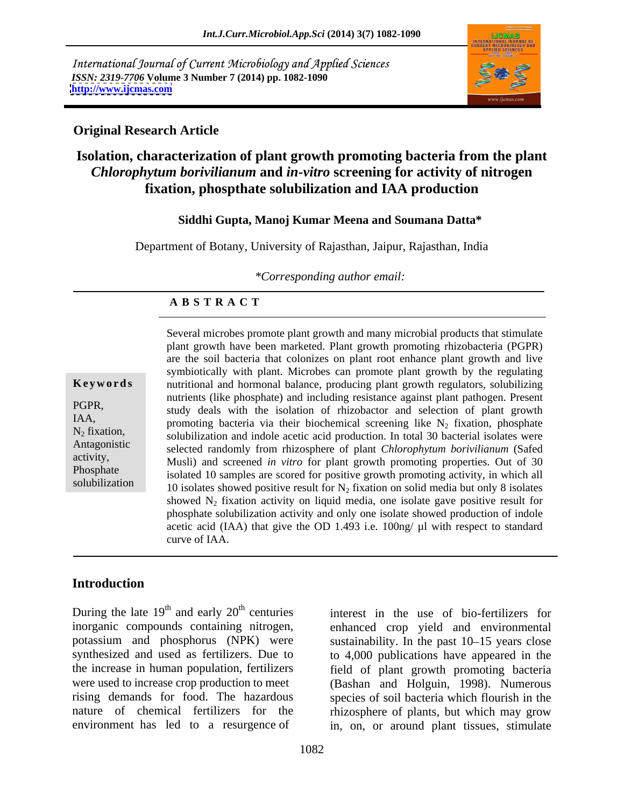International Journal of Current Microbiology and Applied Sciences *ISSN: 2319-7706* **Volume 3 Number 7 (2014) pp. 1082-1090 <http://www.ijcmas.com>**



#### **Original Research Article**

# **Isolation, characterization of plant growth promoting bacteria from the plant**  *Chlorophytum borivilianum* **and** *in-vitro* **screening for activity of nitrogen fixation, phospthate solubilization and IAA production**

#### **Siddhi Gupta, Manoj Kumar Meena and Soumana Datta\***

Department of Botany, University of Rajasthan, Jaipur, Rajasthan, India

*\*Corresponding author email:* 

#### **A B S T R A C T**

**Keywords** nutritional and hormonal balance, producing plant growth regulators, solubilizing PGPR,<br>study deals with the isolation of rhizobactor and selection of plant growth IAA, promoting bacteria via their biochemical screening like  $N_2$  fixation, phosphate N<sub>2</sub> fixation, solubilization and indole acetic acid production. In total 30 bacterial isolates were Antagonistic selected randomly from rhizosphere of plant *Chlorophytum borivilianum* (Safed activity,<br>
Musli) and screened *in vitro* for plant growth promoting properties. Out of 30 Phosphate isolated 10 samples are scored for positive growth promoting activity, in which all solubilization 10 isolates showed positive result for  $N_2$  fixation on solid media but only 8 isolates Several microbes promote plant growth and many microbial products that stimulate plant growth have been marketed. Plant growth promoting rhizobacteria (PGPR) are the soil bacteria that colonizes on plant root enhance plant growth and live symbiotically with plant. Microbes can promote plant growth by the regulating nutrients (like phosphate) and including resistance against plant pathogen. Present showed  $N_2$  fixation activity on liquid media, one isolate gave positive result for phosphate solubilization activity and only one isolate showed production of indole acetic acid (IAA) that give the OD 1.493 i.e. 100ng/ µl with respect to standard curve of IAA.

### **Introduction**

During the late  $19<sup>th</sup>$  and early  $20<sup>th</sup>$  centuries interest in the use of bio-fertilizers for inorganic compounds containing nitrogen, enhanced crop yield and environmental potassium and phosphorus (NPK) were synthesized and used as fertilizers. Due to to 4,000 publications have appeared in the the increase in human population, fertilizers field of plant growth promoting bacteria were used to increase crop production to meet (Bashan and Holguin, 1998). Numerous rising demands for food. The hazardous species of soil bacteria which flourish in the nature of chemical fertilizers for the rhizosphere of plants, but which may grow

environment has led to a resurgence of in, on, or around plant tissues, stimulate sustainability. In the past  $10-15$  years close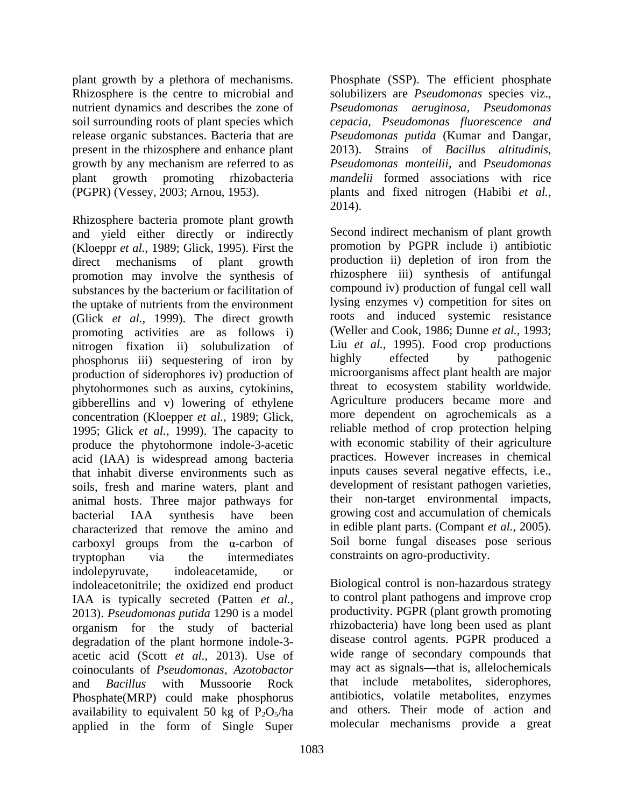soil surrounding roots of plant species which present in the rhizosphere and enhance plant (PGPR) (Vessey, 2003; Arnou, 1953). [plants and fixed nitrogen (Habibi et al.,

Rhizosphere bacteria promote plant growth and yield either directly or indirectly (Kloeppr *et al.*, 1989; Glick, 1995). First the promotion may involve the synthesis of substances by the bacterium or facilitation of the uptake of nutrients from the environment (Glick *et al.*, 1999). The direct growth promoting activities are as follows i) nitrogen fixation ii) solubulization of Liu *et al.*, 1995). Food crop productions phosphorus iii) sequestering of iron by highly effected by pathogenic phosphorus iii) sequestering of iron by production of siderophores iv) production of phytohormones such as auxins, cytokinins, gibberellins and v) lowering of ethylene concentration (Kloepper *et al.*, 1989; Glick, 1995; Glick *et al.*, 1999). The capacity to produce the phytohormone indole-3-acetic acid (IAA) is widespread among bacteria that inhabit diverse environments such as soils, fresh and marine waters, plant and animal hosts. Three major pathways for characterized that remove the amino and carboxyl groups from the  $\alpha$ -carbon of tryptophan via the intermediates constraints on agro-productivity. indolepyruvate, indoleacetamide, or indoleacetonitrile; the oxidized end product IAA is typically secreted (Patten *et al.*, 2013). *Pseudomonas putida* 1290 is a model organism for the study of bacterial degradation of the plant hormone indole-3 acetic acid (Scott *et al.*, 2013). Use of coinoculants of *Pseudomonas*, *Azotobactor* and *Bacillus* with Mussoorie Rock that include metabolites, siderophores, and *Bacillus* with Mussoorie Rock Phosphate(MRP) could make phosphorus availability to equivalent 50 kg of  $P_2O_5/ha$ applied in the form of Single Super

plant growth by a plethora of mechanisms. Phosphate (SSP). The efficient phosphate Rhizosphere is the centre to microbial and solubilizers are *Pseudomonas* species viz., nutrient dynamics and describes the zone of *Pseudomonas aeruginosa, Pseudomonas* release organic substances. Bacteria that are *Pseudomonas putida* (Kumar and Dangar, growth by any mechanism are referred to as *Pseudomonas monteilii*, and *Pseudomonas* plant growth promoting rhizobacteria *mandelii* formed associations with rice *cepacia, Pseudomonas fluorescence and* 2013). Strains of *Bacillus altitudinis,* plants and fixed nitrogen (Habibi *et al.*, 2014).

direct mechanisms of plant growth production ii) depletion of iron from the bacterial IAA synthesis have been growing cost and accumulation of chemicals Second indirect mechanism of plant growth promotion by PGPR include i) antibiotic rhizosphere iii) synthesis of antifungal compound iv) production of fungal cell wall lysing enzymes v) competition for sites on roots and induced systemic resistance (Weller and Cook, 1986; Dunne *et al.*, 1993; Liu *et al.*, 1995). Food crop productions highly effected by pathogenic microorganisms affect plant health are major threat to ecosystem stability worldwide. Agriculture producers became more and more dependent on agrochemicals as a reliable method of crop protection helping with economic stability of their agriculture practices. However increases in chemical inputs causes several negative effects, i.e., development of resistant pathogen varieties, their non-target environmental impacts, growing cost and accumulation of chemicals in edible plant parts. (Compant *et al.,* 2005). Soil borne fungal diseases pose serious

> Biological control is non-hazardous strategy to control plant pathogens and improve crop productivity. PGPR (plant growth promoting rhizobacteria) have long been used as plant disease control agents. PGPR produced a wide range of secondary compounds that may act as signals—that is, allelochemicals that include metabolites, antibiotics, volatile metabolites, enzymes and others. Their mode of action and molecular mechanisms provide a great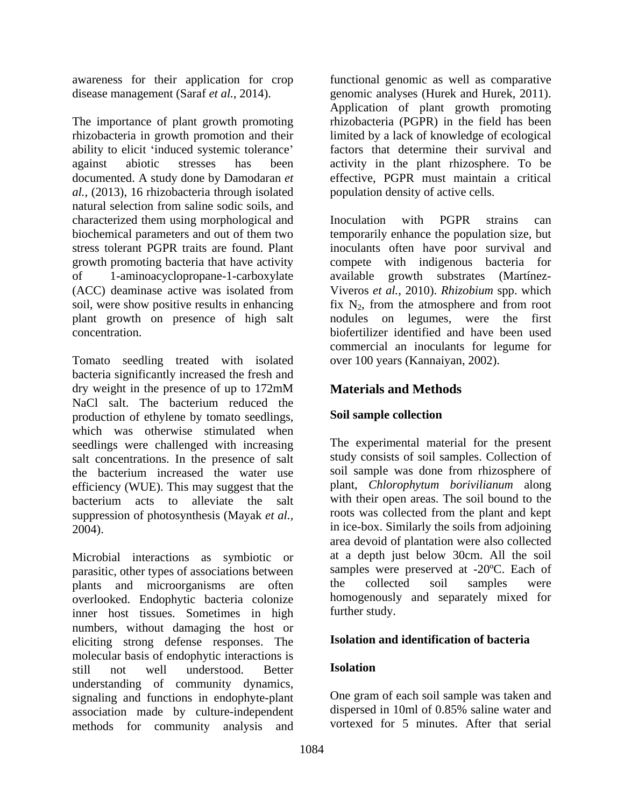The importance of plant growth promoting rhizobacteria (PGPR) in the field has been rhizobacteria in growth promotion and their limited by a lack of knowledge of ecological ability to elicit 'induced systemic tolerance' against abiotic stresses has been activity in the plant rhizosphere. To be documented. A study done by Damodaran *et*  effective, PGPR must maintain a critical *al.*, (2013), 16 rhizobacteria through isolated natural selection from saline sodic soils, and characterized them using morphological and localization with PGPR strains can of 1-aminoacyclopropane-1-carboxylate plant growth on presence of high salt

Tomato seedling treated with isolated bacteria significantly increased the fresh and dry weight in the presence of up to 172mM **Materials and Methods** NaCl salt. The bacterium reduced the<br>production of ethylene by tomato seedlings. Soil sample collection production of ethylene by tomato seedlings, which was otherwise stimulated when seedlings were challenged with increasing salt concentrations. In the presence of salt the bacterium increased the water use efficiency (WUE). This may suggest that the bacterium acts to alleviate the salt suppression of photosynthesis (Mayak *et al.,*

Microbial interactions as symbiotic or parasitic, other types of associations between samples were preserved at -20<sup>o</sup>C. Each of plants and microorganisms are often the collected soil samples were plants and microorganisms are often overlooked. Endophytic bacteria colonize homogenously<br>inner host tissues Sometimes in high further study. inner host tissues. Sometimes in high numbers, without damaging the host or eliciting strong defense responses. The molecular basis of endophytic interactions is<br>still not well understood Better **Isolation** still not well understood. Better **Isolation** understanding of community dynamics, signaling and functions in endophyte-plant association made by culture-independent methods for community analysis and

awareness for their application for crop functional genomic as well as comparative disease management (Saraf *et al.*, 2014). genomic analyses (Hurek and Hurek, 2011). Application of plant growth promoting factors that determine their survival and population density of active cells.

biochemical parameters and out of them two temporarily enhance the population size, but stress tolerant PGPR traits are found. Plant inoculants often have poor survival and growth promoting bacteria that have activity compete with indigenous bacteria for (ACC) deaminase active was isolated from Viveros *et al.*, 2010). *Rhizobium* spp. which soil, were show positive results in enhancing fix  $N_2$ , from the atmosphere and from root concentration. biofertilizer identified and have been used Inoculation with PGPR strains can available growth substrates nodules on legumes, were the first commercial an inoculants for legume for over 100 years (Kannaiyan, 2002).

# **Materials and Methods**

# **Soil sample collection**

2004). in ice-box. Similarly the soils from adjoining The experimental material for the present study consists of soil samples. Collection of soil sample was done from rhizosphere of plant, *Chlorophytum borivilianum* along with their open areas. The soil bound to the roots was collected from the plant and kept area devoid of plantation were also collected at a depth just below 30cm. All the soil samples were preserved at -20ºC. Each of the collected soil samples were homogenously and separately mixed for further study.

### **Isolation and identification of bacteria**

### **Isolation**

One gram of each soil sample was taken and dispersed in 10ml of 0.85% saline water and vortexed for 5 minutes. After that serial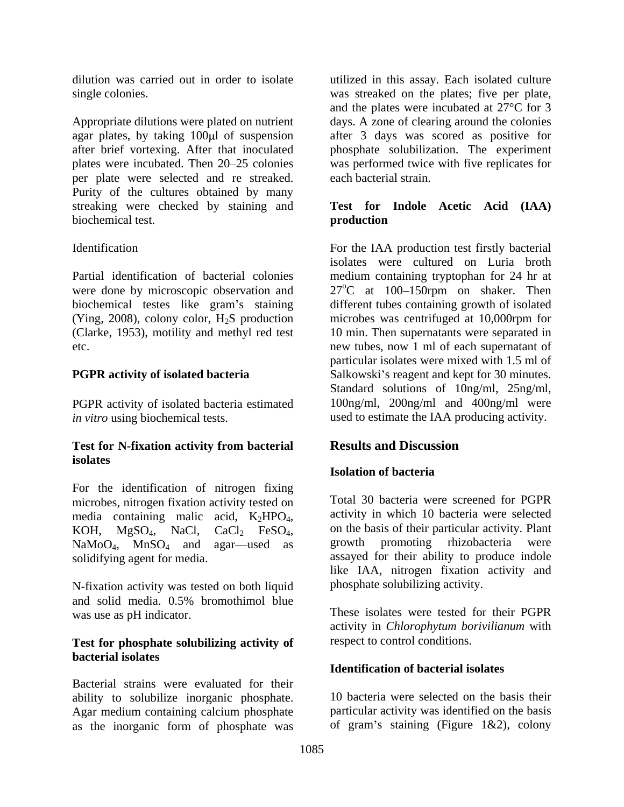per plate were selected and re streaked. Purity of the cultures obtained by many streaking were checked by staining and biochemical test. **biochemical test**.

(Clarke, 1953), motility and methyl red test

PGPR activity of isolated bacteria estimated *in vitro* using biochemical tests. used to estimate the IAA producing activity.

#### **Test for N-fixation activity from bacterial isolates**

For the identification of nitrogen fixing microbes, nitrogen fixation activity tested on

N-fixation activity was tested on both liquid and solid media. 0.5% bromothimol blue was use as pH indicator. These isolates were tested for their PGPR

#### **Test for phosphate solubilizing activity of bacterial isolates**

Bacterial strains were evaluated for their ability to solubilize inorganic phosphate. Agar medium containing calcium phosphate as the inorganic form of phosphate was

dilution was carried out in order to isolate a utilized in this assay. Each isolated culture single colonies. was streaked on the plates; five per plate, Appropriate dilutions were plated on nutrient days. A zone of clearing around the colonies agar plates, by taking 100µl of suspension after 3 days was scored as positive for after brief vortexing. After that inoculated phosphate solubilization. The experiment plates were incubated. Then 20–25 colonies was performed twice with five replicates for and the plates were incubated at 27°C for 3 each bacterial strain.

### **Test for Indole Acetic Acid (IAA) production**

Identification For the IAA production test firstly bacterial Partial identification of bacterial colonies medium containing tryptophan for 24 hr at were done by microscopic observation and  $27^{\circ}$ C at 100–150rpm on shaker. Then biochemical testes like gram's staining different tubes containing growth of isolated (Ying, 2008), colony color, H2S production microbes was centrifuged at 10,000rpm for etc. new tubes, now 1 ml of each supernatant of **PGPR activity of isolated bacteria** Salkowski's reagent and kept for 30 minutes. isolates were cultured on Luria broth 10 min. Then supernatants were separated in particular isolates were mixed with 1.5 ml of Standard solutions of 10ng/ml, 25ng/ml, 100ng/ml, 200ng/ml and 400ng/ml were

# **Results and Discussion**

# **Isolation of bacteria**

media containing malic acid,  $K_2HPO_4$ , activity in which 10 bacteria were selected<br>KOH, MgSO<sub>4</sub>, NaCl, CaCl<sub>2</sub> FeSO<sub>4</sub>, on the basis of their particular activity. Plant<br>NaMoO<sub>4</sub>, MnSO<sub>4</sub> and agar—used as growth promoting solidifying agent for media. assayed for their ability to produce indole Total 30 bacteria were screened for PGPR activity in which 10 bacteria were selected on the basis of their particular activity. Plant growth promoting rhizobacteria were like IAA, nitrogen fixation activity and phosphate solubilizing activity.

> activity in *Chlorophytum borivilianum* with respect to control conditions.

# **Identification of bacterial isolates**

10 bacteria were selected on the basis their particular activity was identified on the basis of gram's staining (Figure  $1\&2$ ), colony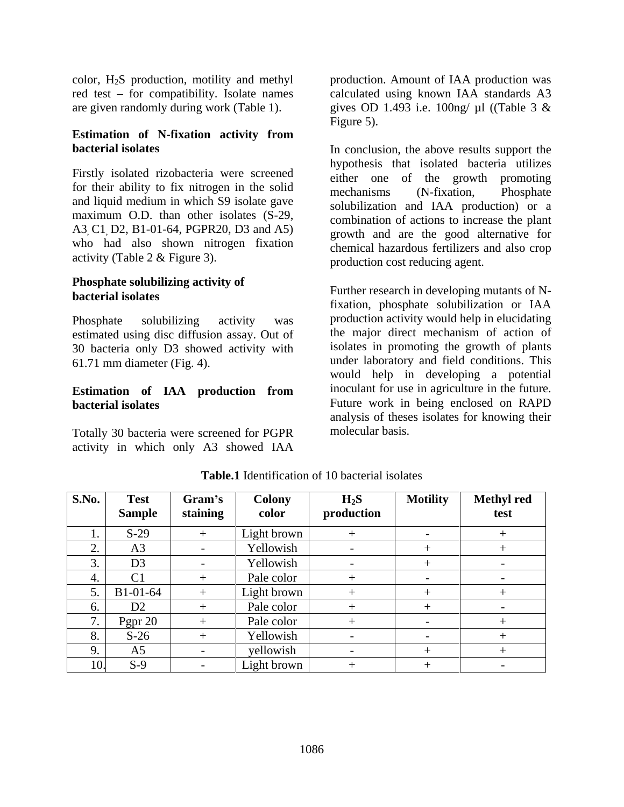red test  $-$  for compatibility. Isolate names

# **Estimation of N-fixation activity from**

Firstly isolated rizobacteria were screened for their ability to fix nitrogen in the solid<br>mechanisms (N-fixation, Phosphate and liquid medium in which S9 isolate gave maximum O.D. than other isolates (S-29, A3, C1, D2, B1-01-64, PGPR20, D3 and A5) who had also shown nitrogen fixation activity (Table 2 & Figure 3).

# **Phosphate solubilizing activity of**

estimated using disc diffusion assay. Out of 30 bacteria only D3 showed activity with

# **Estimation of IAA production from**

Totally 30 bacteria were screened for PGPR activity in which only A3 showed IAA

color, H2S production, motility and methyl production. Amount of IAA production was are given randomly during work (Table 1). gives OD 1.493 i.e. 100ng/ µl ((Table 3 & calculated using known IAA standards A3 Figure 5).

**bacterial isolates** In conclusion, the above results support the hypothesis that isolated bacteria utilizes either one of the growth promoting mechanisms (N-fixation, Phosphate solubilization and IAA production) or a combination of actions to increase the plant growth and are the good alternative for chemical hazardous fertilizers and also crop production cost reducing agent.

**bacterial isolates** Phosphate solubilizing activity was production activity would help in elucidating 61.71 mm diameter (Fig. 4). under laboratory and field conditions. This **bacterial isolates** Future work in being enclosed on RAPD Further research in developing mutants of Nfixation, phosphate solubilization or IAA the major direct mechanism of action of isolates in promoting the growth of plants would help in developing a potential inoculant for use in agriculture in the future. analysis of theses isolates for knowing their molecular basis.

| <b>S.No.</b> | <b>Test</b>           | Gram's     | Colony      | $H_2S$     | <b>Motility</b>                   | <b>Methyl red</b> |
|--------------|-----------------------|------------|-------------|------------|-----------------------------------|-------------------|
|              | Sample                | staining   | color       | production |                                   | test              |
|              | $S-29$                |            | Light brown |            | <b>Contract Contract Contract</b> |                   |
|              | $\sim$                | $\sim$ $-$ | Yellowish   |            |                                   |                   |
|              | D3                    | $\sim$     | Yellowish   |            |                                   | $\sim$ $-$        |
|              | $\sqrt{11}$<br>◡▴     |            | Pale color  |            | $\sim$ $-$                        | $\sim$ $-$        |
|              | B1-01-64              |            | Light brown |            |                                   |                   |
|              | D2                    |            | Pale color  |            |                                   |                   |
|              | Pgpr $20$<br><u>u</u> |            | Pale color  |            | $\sim$ $-$                        |                   |
|              | $S-26$                |            | Yellowish   |            | $\sim$ $ \sim$                    |                   |
|              | A5                    | $\sim$     | yellowish   |            |                                   |                   |
|              | $S-9$                 |            | Light brown |            |                                   |                   |

**Table.1** Identification of 10 bacterial isolates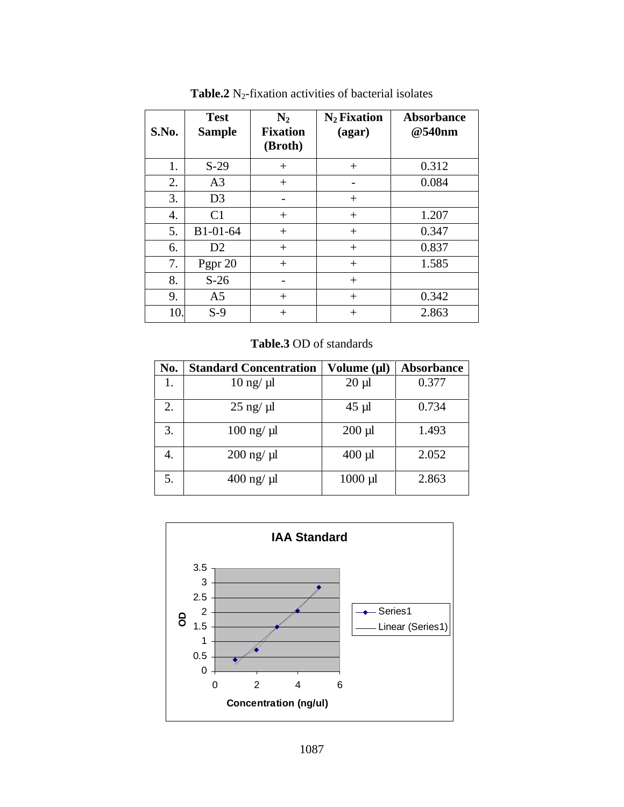|                | <b>Test</b>                        | $N_2$           | $N_2$ Fixation | Absorbance |
|----------------|------------------------------------|-----------------|----------------|------------|
|                | S.No. Sample                       | <b>Fixation</b> | (agar)         | @540nm     |
|                |                                    | (Broth)         |                |            |
|                | $\overline{S-29}$                  |                 |                | 0.312      |
|                | $\sqrt{2}$<br>$\sim$               |                 | $\sim$ $-$     | 0.084      |
|                | D <sub>3</sub>                     |                 |                |            |
|                | $\sim$ 1                           |                 |                | 1.207      |
|                | B1-01-64                           |                 | $+$            | 0.347      |
|                | $\mathbf{D}$<br>$\boldsymbol{\nu}$ |                 |                | 0.837      |
|                | Pgpr 20                            |                 |                | 1.585      |
|                | $S-26$                             |                 |                |            |
|                | A5                                 |                 | $+$            | 0.342      |
| 1 <sub>0</sub> | $S-9$                              |                 |                | 2.863      |

**Table.2** N<sub>2</sub>-fixation activities of bacterial isolates

**Table.3** OD of standards

|                            | No.   Standard Concentration   Volume (µl)   Absorbance |              |       |
|----------------------------|---------------------------------------------------------|--------------|-------|
| $\mathbf{1}$ .             | $10 \text{ ng}/ \text{ µl}$                             | $20 \mu l$   | 0.377 |
| $\overline{\phantom{a}}$ . | $25$ ng/ $\mu$ l                                        | $45 \mu$ l   | 0.734 |
| <u>.</u>                   | $100$ ng/ $\mu$ l                                       | $200 \mu l$  | 1.493 |
|                            | 200 ng/µl                                               | $400$ µl     | 2.052 |
| . J .                      | 400 ng/µl                                               | $1000 \mu l$ | 2.863 |

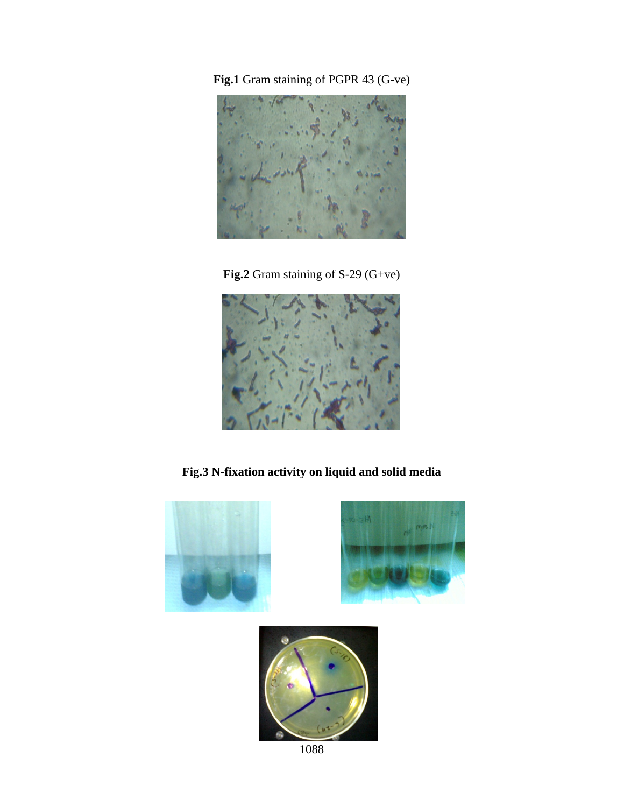**Fig.1** Gram staining of PGPR 43 (G-ve)



**Fig.2** Gram staining of S-29 (G+ve)



**Fig.3 N-fixation activity on liquid and solid media**

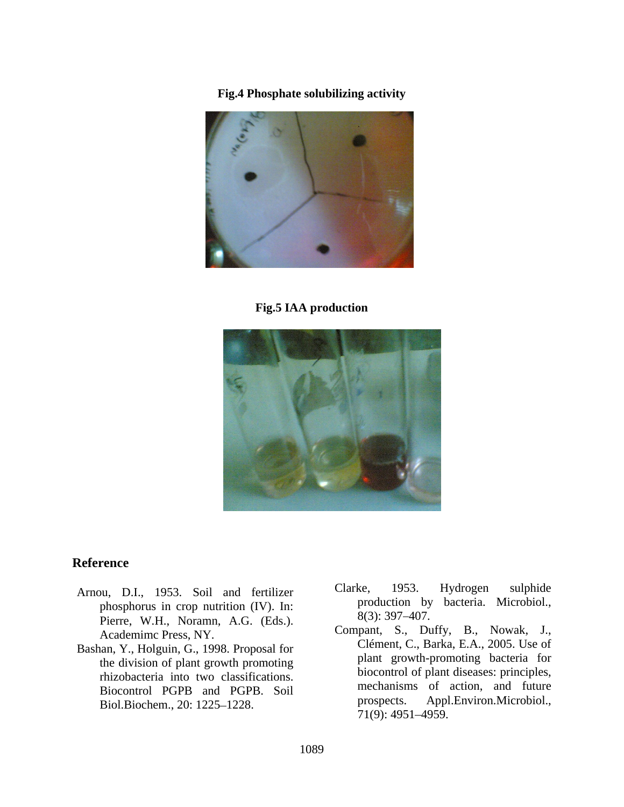**Fig.4 Phosphate solubilizing activity**



#### **Fig.5 IAA production**



#### **Reference**

- phosphorus in crop nutrition (IV). In:<br>
Pierre WH Noramn A G (Eds.) 8(3): 397–407. Pierre, W.H., Noramn, A.G. (Eds.).  $\delta(3)$ :  $397-407$ .<br>Academimc Press, NY. Compant, S., Duffy, B., Nowak, J.,
- Bashan, Y., Holguin, G., 1998. Proposal for the division of plant growth promoting rhizobacteria into two classifications. Biol.Biochem., 20: 1225–1228. prospects. Appl<br>
71(9): 4951–4959.
- Arnou, D.I., 1953. Soil and fertilizer Clarke, 1953. Hydrogen sulphide<br>production by bacteria. Microbiol., Clarke, 1953. Hydrogen sulphide production by bacteria. Microbiol.,<br>8(3): 397–407.
	- Biocontrol PGPB and PGPB. Soil all mechanisms of action, and future Clément, C., Barka, E.A., 2005. Use of plant growth-promoting bacteria for biocontrol of plant diseases: principles, mechanisms of action, and future Appl.Environ.Microbiol., 71(9): 4951 4959.